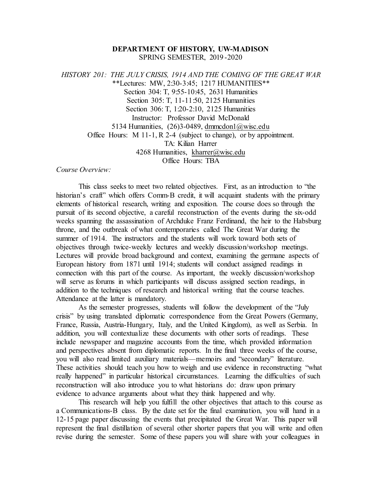## **DEPARTMENT OF HISTORY, UW-MADISON** SPRING SEMESTER, 2019 -2020

*HISTORY 201: THE JULY CRISIS, 1914 AND THE COMING OF THE GREAT WAR* \*\*Lectures: MW, 2:30-3:45; 1217 HUMANITIES\*\* Section 304: T, 9:55-10:45, 2631 Humanities Section 305: T, 11-11:50, 2125 Humanities Section 306: T, 1:20-2:10, 2125 Humanities Instructor: Professor David McDonald 5134 Humanities,  $(26)$ 3-0489, dmmcdon $(a)$ wisc.edu Office Hours: M 11-1, R 2-4 (subject to change), or by appointment. TA: Kilian Harrer 4268 Humanities, [kharrer@wisc.edu](mailto:kharrer@wisc.edu)  Office Hours: TBA

*Course Overview:*

This class seeks to meet two related objectives. First, as an introduction to "the historian's craft" which offers Comm-B credit, it will acquaint students with the primary elements of historical research, writing and exposition. The course does so through the pursuit of its second objective, a careful reconstruction of the events during the six-odd weeks spanning the assassination of Archduke Franz Ferdinand, the heir to the Habsburg throne, and the outbreak of what contemporaries called The Great War during the summer of 1914. The instructors and the students will work toward both sets of objectives through twice-weekly lectures and weekly discussion/workshop meetings. Lectures will provide broad background and context, examining the germane aspects of European history from 1871 until 1914; students will conduct assigned readings in connection with this part of the course. As important, the weekly discussion/workshop will serve as forums in which participants will discuss assigned section readings, in addition to the techniques of research and historical writing that the course teaches. Attendance at the latter is mandatory.

As the semester progresses, students will follow the development of the "July crisis" by using translated diplomatic correspondence from the Great Powers (Germany, France, Russia, Austria-Hungary, Italy, and the United Kingdom), as well as Serbia. In addition, you will contextualize these documents with other sorts of readings. These include newspaper and magazine accounts from the time, which provided information and perspectives absent from diplomatic reports. In the final three weeks of the course, you will also read limited auxiliary materials—memoirs and "secondary" literature. These activities should teach you how to weigh and use evidence in reconstructing "what really happened" in particular historical circumstances. Learning the difficulties of such reconstruction will also introduce you to what historians do: draw upon primary evidence to advance arguments about what they think happened and why.

This research will help you fulfill the other objectives that attach to this course as a Communications-B class. By the date set for the final examination, you will hand in a 12-15 page paper discussing the events that precipitated the Great War. This paper will represent the final distillation of several other shorter papers that you will write and often revise during the semester. Some of these papers you will share with your colleagues in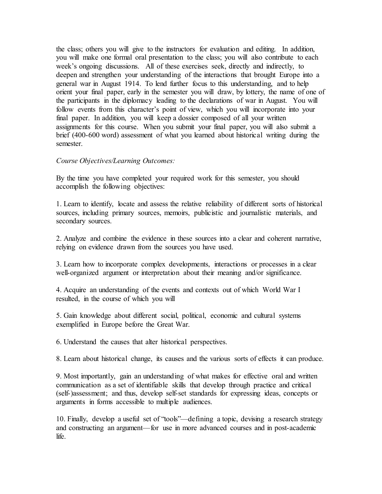the class; others you will give to the instructors for evaluation and editing. In addition, you will make one formal oral presentation to the class; you will also contribute to each week's ongoing discussions. All of these exercises seek, directly and indirectly, to deepen and strengthen your understanding of the interactions that brought Europe into a general war in August 1914. To lend further focus to this understanding, and to help orient your final paper, early in the semester you will draw, by lottery, the name of one of the participants in the diplomacy leading to the declarations of war in August. You will follow events from this character's point of view, which you will incorporate into your final paper. In addition, you will keep a dossier composed of all your written assignments for this course. When you submit your final paper, you will also submit a brief (400-600 word) assessment of what you learned about historical writing during the semester.

### *Course Objectives/Learning Outcomes:*

By the time you have completed your required work for this semester, you should accomplish the following objectives:

1. Learn to identify, locate and assess the relative reliability of different sorts of historical sources, including primary sources, memoirs, publicistic and journalistic materials, and secondary sources.

2. Analyze and combine the evidence in these sources into a clear and coherent narrative, relying on evidence drawn from the sources you have used.

3. Learn how to incorporate complex developments, interactions or processes in a clear well-organized argument or interpretation about their meaning and/or significance.

4. Acquire an understanding of the events and contexts out of which World War I resulted, in the course of which you will

5. Gain knowledge about different social, political, economic and cultural systems exemplified in Europe before the Great War.

6. Understand the causes that alter historical perspectives.

8. Learn about historical change, its causes and the various sorts of effects it can produce.

9. Most importantly, gain an understanding of what makes for effective oral and written communication as a set of identifiable skills that develop through practice and critical (self-)assessment; and thus, develop self-set standards for expressing ideas, concepts or arguments in forms accessible to multiple audiences.

10. Finally, develop a useful set of "tools"—defining a topic, devising a research strategy and constructing an argument—for use in more advanced courses and in post-academic life.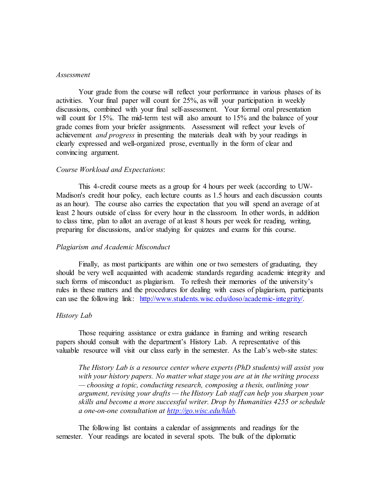#### *Assessment*

Your grade from the course will reflect your performance in various phases of its activities. Your final paper will count for 25%, as will your participation in weekly discussions, combined with your final self-assessment. Your formal oral presentation will count for 15%. The mid-term test will also amount to 15% and the balance of your grade comes from your briefer assignments. Assessment will reflect your levels of achievement *and progress* in presenting the materials dealt with by your readings in clearly expressed and well-organized prose, eventually in the form of clear and convincing argument.

#### *Course Workload and Expectations*:

This 4-credit course meets as a group for 4 hours per week (according to UW-Madison's credit hour policy, each lecture counts as 1.5 hours and each discussion counts as an hour). The course also carries the expectation that you will spend an average of at least 2 hours outside of class for every hour in the classroom. In other words, in addition to class time, plan to allot an average of at least 8 hours per week for reading, writing, preparing for discussions, and/or studying for quizzes and exams for this course.

#### *Plagiarism and Academic Misconduct*

Finally, as most participants are within one or two semesters of graduating, they should be very well acquainted with academic standards regarding academic integrity and such forms of misconduct as plagiarism. To refresh their memories of the university's rules in these matters and the procedures for dealing with cases of plagiarism, participants can use the following link: [http://www.students.wisc.edu/doso/academic-integrity/.](http://www.students.wisc.edu/doso/academic-integrity/)

#### *History Lab*

Those requiring assistance or extra guidance in framing and writing research papers should consult with the department's History Lab. A representative of this valuable resource will visit our class early in the semester. As the Lab's web-site states:

*The History Lab is a resource center where experts (PhD students) will assist you with your history papers. No matter what stage you are at in the writing process — choosing a topic, conducting research, composing a thesis, outlining your argument, revising your drafts — the History Lab staff can help you sharpen your skills and become a more successful writer. Drop by Humanities 4255 or schedule a one-on-one consultation at [http://go.wisc.edu/hlab.](http://go.wisc.edu/hlab)*

The following list contains a calendar of assignments and readings for the semester. Your readings are located in several spots. The bulk of the diplomatic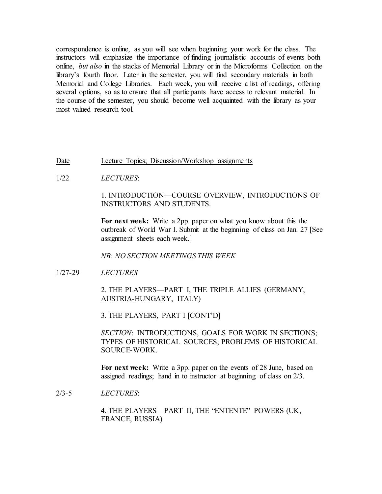correspondence is online, as you will see when beginning your work for the class. The instructors will emphasize the importance of finding journalistic accounts of events both online, *but also* in the stacks of Memorial Library or in the Microforms Collection on the library's fourth floor. Later in the semester, you will find secondary materials in both Memorial and College Libraries. Each week, you will receive a list of readings, offering several options, so as to ensure that all participants have access to relevant material. In the course of the semester, you should become well acquainted with the library as your most valued research tool.

### Date Lecture Topics; Discussion/Workshop assignments

1/22 *LECTURES*:

## 1. INTRODUCTION—COURSE OVERVIEW, INTRODUCTIONS OF INSTRUCTORS AND STUDENTS.

**For next week:** Write a 2pp. paper on what you know about this the outbreak of World War I. Submit at the beginning of class on Jan. 27 [See assignment sheets each week.]

### *NB: NO SECTION MEETINGS THIS WEEK*

1/27-29 *LECTURES*

2. THE PLAYERS—PART I, THE TRIPLE ALLIES (GERMANY, AUSTRIA-HUNGARY, ITALY)

3. THE PLAYERS, PART I [CONT'D]

*SECTION*: INTRODUCTIONS, GOALS FOR WORK IN SECTIONS; TYPES OF HISTORICAL SOURCES; PROBLEMS OF HISTORICAL SOURCE-WORK.

**For next week:** Write a 3pp. paper on the events of 28 June, based on assigned readings; hand in to instructor at beginning of class on 2/3.

2/3-5 *LECTURES*:

4. THE PLAYERS—PART II, THE "ENTENTE" POWERS (UK, FRANCE, RUSSIA)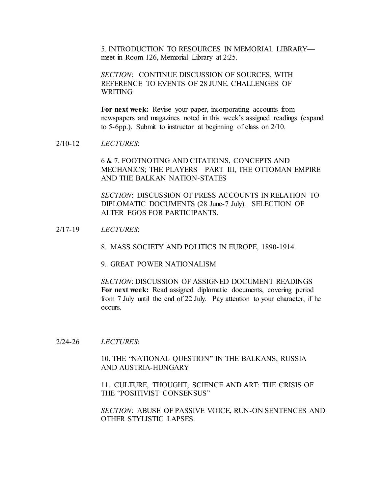5. INTRODUCTION TO RESOURCES IN MEMORIAL LIBRARY meet in Room 126, Memorial Library at 2:25.

*SECTION*: CONTINUE DISCUSSION OF SOURCES, WITH REFERENCE TO EVENTS OF 28 JUNE. CHALLENGES OF WRITING

For next week: Revise your paper, incorporating accounts from newspapers and magazines noted in this week's assigned readings (expand to 5-6pp.). Submit to instructor at beginning of class on 2/10.

2/10-12 *LECTURES*:

6 & 7. FOOTNOTING AND CITATIONS, CONCEPTS AND MECHANICS; THE PLAYERS—PART III, THE OTTOMAN EMPIRE AND THE BALKAN NATION-STATES

*SECTION*: DISCUSSION OF PRESS ACCOUNTS IN RELATION TO DIPLOMATIC DOCUMENTS (28 June-7 July). SELECTION OF ALTER EGOS FOR PARTICIPANTS.

- 2/17-19 *LECTURES*:
	- 8. MASS SOCIETY AND POLITICS IN EUROPE, 1890-1914.
	- 9. GREAT POWER NATIONALISM

*SECTION*: DISCUSSION OF ASSIGNED DOCUMENT READINGS **For next week:** Read assigned diplomatic documents, covering period from 7 July until the end of 22 July. Pay attention to your character, if he occurs.

2/24-26 *LECTURES*:

10. THE "NATIONAL QUESTION" IN THE BALKANS, RUSSIA AND AUSTRIA-HUNGARY

11. CULTURE, THOUGHT, SCIENCE AND ART: THE CRISIS OF THE "POSITIVIST CONSENSUS"

*SECTION*: ABUSE OF PASSIVE VOICE, RUN-ON SENTENCES AND OTHER STYLISTIC LAPSES.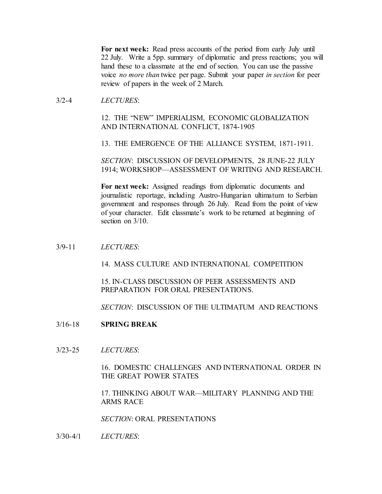**For next week:** Read press accounts of the period from early July until 22 July. Write a 5pp. summary of diplomatic and press reactions; you will hand these to a classmate at the end of section. You can use the passive voice *no more than* twice per page. Submit your paper *in section* for peer review of papers in the week of 2 March.

### 3/2-4 *LECTURES*:

# 12. THE "NEW" IMPERIALISM, ECONOMIC GLOBALIZATION AND INTERNATIONAL CONFLICT, 1874-1905

13. THE EMERGENCE OF THE ALLIANCE SYSTEM, 1871-1911.

*SECTION*: DISCUSSION OF DEVELOPMENTS, 28 JUNE-22 JULY 1914; WORKSHOP—ASSESSMENT OF WRITING AND RESEARCH.

**For next week:** Assigned readings from diplomatic documents and journalistic reportage, including Austro-Hungarian ultimatum to Serbian government and responses through 26 July. Read from the point of view of your character. Edit classmate's work to be returned at beginning of section on  $3/10$ .

## 3/9-11 *LECTURES*:

14. MASS CULTURE AND INTERNATIONAL COMPETITION

15. IN-CLASS DISCUSSION OF PEER ASSESSMENTS AND PREPARATION FOR ORAL PRESENTATIONS.

*SECTION*: DISCUSSION OF THE ULTIMATUM AND REACTIONS

## 3/16-18 **SPRING BREAK**

3/23-25 *LECTURES*:

16. DOMESTIC CHALLENGES AND INTERNATIONAL ORDER IN THE GREAT POWER STATES

17. THINKING ABOUT WAR—MILITARY PLANNING AND THE ARMS RACE

*SECTION*: ORAL PRESENTATIONS

3/30-4/1 *LECTURES*: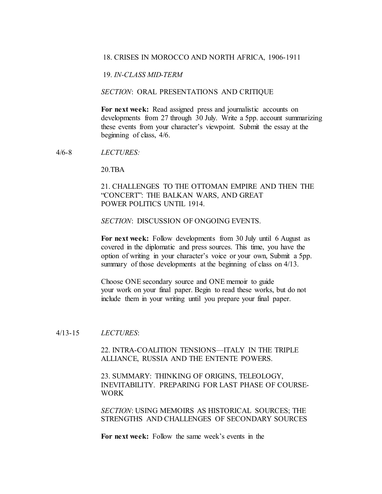#### 18. CRISES IN MOROCCO AND NORTH AFRICA, 1906-1911

19. *IN-CLASS MID-TERM*

### *SECTION*: ORAL PRESENTATIONS AND CRITIQUE

**For next week:** Read assigned press and journalistic accounts on developments from 27 through 30 July. Write a 5pp. account summarizing these events from your character's viewpoint. Submit the essay at the beginning of class, 4/6.

4/6-8 *LECTURES:*

20.TBA

## 21. CHALLENGES TO THE OTTOMAN EMPIRE AND THEN THE "CONCERT": THE BALKAN WARS, AND GREAT POWER POLITICS UNTIL 1914.

*SECTION*: DISCUSSION OF ONGOING EVENTS.

**For next week:** Follow developments from 30 July until 6 August as covered in the diplomatic and press sources. This time, you have the option of writing in your character's voice or your own, Submit a 5pp. summary of those developments at the beginning of class on 4/13.

Choose ONE secondary source and ONE memoir to guide your work on your final paper. Begin to read these works, but do not include them in your writing until you prepare your final paper.

#### 4/13-15 *LECTURES*:

22. INTRA-COALITION TENSIONS—ITALY IN THE TRIPLE ALLIANCE, RUSSIA AND THE ENTENTE POWERS.

23. SUMMARY: THINKING OF ORIGINS, TELEOLOGY, INEVITABILITY. PREPARING FOR LAST PHASE OF COURSE-WORK

*SECTION*: USING MEMOIRS AS HISTORICAL SOURCES; THE STRENGTHS AND CHALLENGES OF SECONDARY SOURCES

**For next week:** Follow the same week's events in the